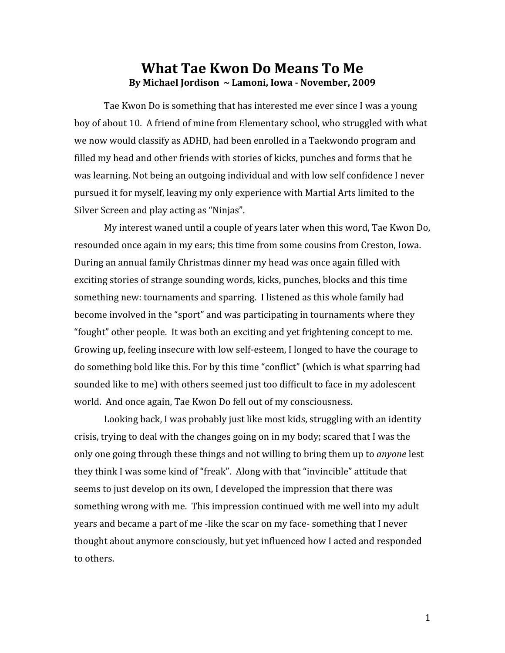## What Tae Kwon Do Means To Me By Michael Jordison ~ Lamoni, Iowa - November, 2009

Tae
Kwon
Do
is
something
that
has
interested
me
ever
since
I
was
a
young boy
of
about
10.

A
friend
of
mine
from
Elementary
school,
who
struggled
with
what we
now
would
classify
as
ADHD,
had
been
enrolled
in
a
Taekwondo
program
and filled my head and other friends with stories of kicks, punches and forms that he was learning. Not being an outgoing individual and with low self confidence I never pursued
it
for
myself,
leaving
my
only
experience
with
Martial
Arts
limited
to
the Silver
Screen
and
play
acting
as
"Ninjas".

My interest waned until a couple of years later when this word, Tae Kwon Do, resounded
once
again
in
my
ears;
this
time
from
some
cousins
from
Creston,
Iowa. During an annual family Christmas dinner my head was once again filled with exciting
stories
of
strange
sounding
words,
kicks,
punches,
blocks
and
this
time something
new:
tournaments
and
sparring.

I
listened
as
this
whole
family
had become involved in the "sport" and was participating in tournaments where they "fought"
other
people.

It
was
both
an
exciting
and
yet
frightening
concept
to
me. Growing up, feeling insecure with low self-esteem, I longed to have the courage to do something bold like this. For by this time "conflict" (which is what sparring had sounded like to me) with others seemed just too difficult to face in my adolescent world. And once again, Tae Kwon Do fell out of my consciousness.

Looking back, I was probably just like most kids, struggling with an identity crisis,
trying
to
deal
with
the
changes
going
on
in
my
body;
scared
that
I
was
the only
one
going
through
these
things
and
not
willing
to
bring
them
up
to *anyone*lest they think I was some kind of "freak". Along with that "invincible" attitude that seems to just develop on its own, I developed the impression that there was something wrong with me. This impression continued with me well into my adult years and became a part of me-like the scar on my face-something that I never thought
about
anymore
consciously,
but
yet
influenced
how
I
acted
and
responded to
others.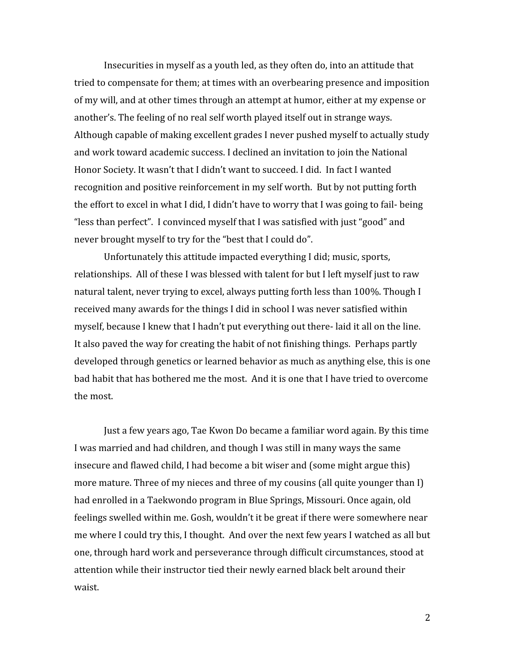Insecurities in myself as a youth led, as they often do, into an attitude that tried
to
compensate
for
them;
at
times
with
an
overbearing
presence
and
imposition of
my
will,
and
at
other
times
through
an
attempt
at
humor,
either
at
my
expense
or another's. The feeling of no real self worth played itself out in strange ways. Although
capable
of
making
excellent
grades
I
never
pushed
myself
to
actually
study and
work
toward
academic
success.
I
declined
an
invitation
to
join
the
National Honor Society. It wasn't that I didn't want to succeed. I did. In fact I wanted recognition and positive reinforcement in my self worth. But by not putting forth the effort to excel in what I did, I didn't have to worry that I was going to fail-being "less than perfect". I convinced myself that I was satisfied with just "good" and never brought myself to try for the "best that I could do".

Unfortunately this attitude impacted everything I did; music, sports, relationships. All of these I was blessed with talent for but I left myself just to raw natural talent, never trying to excel, always putting forth less than 100%. Though I received many awards for the things I did in school I was never satisfied within myself, because I knew that I hadn't put everything out there-laid it all on the line. It also paved the way for creating the habit of not finishing things. Perhaps partly developed
through
genetics
or
learned
behavior
as
much
as
anything
else,
this
is
one bad habit that has bothered me the most. And it is one that I have tried to overcome the
most.

Just a few years ago, Tae Kwon Do became a familiar word again. By this time I was married and had children, and though I was still in many ways the same insecure
and
flawed
child,
I
had
become
a
bit
wiser
and
(some
might
argue
this) more mature. Three of my nieces and three of my cousins (all quite younger than I) had enrolled in a Taekwondo program in Blue Springs, Missouri. Once again, old feelings
swelled
within
me.
Gosh,
wouldn't
it
be
great
if
there
were
somewhere
near me where I could try this, I thought. And over the next few years I watched as all but one,
through
hard
work
and
perseverance
through
difficult
circumstances, stood
at attention while their instructor tied their newly earned black belt around their waist.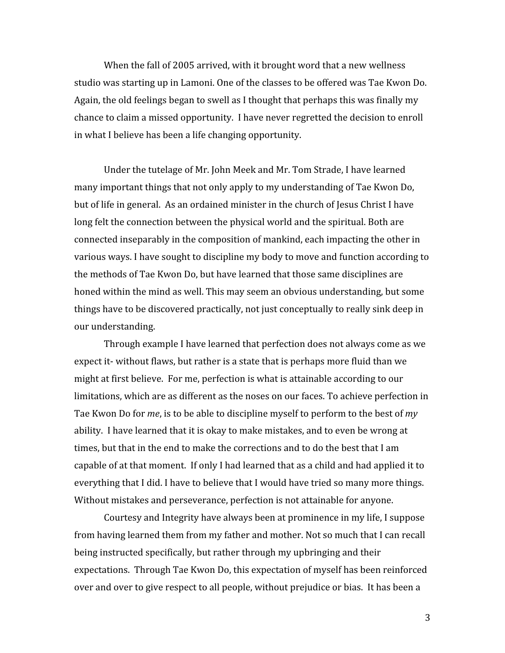When the fall of 2005 arrived, with it brought word that a new wellness studio
was
starting
up
in
Lamoni.
One
of
the
classes
to
be
offered
was
Tae
Kwon
Do. Again, the old feelings began to swell as I thought that perhaps this was finally my chance
to
claim
a
missed
opportunity.

I
have
never
regretted
the
decision
to
enroll in
what
I
believe
has
been
a
life
changing
opportunity.

Under
the
tutelage
of
Mr.
John
Meek
and
Mr.
Tom
Strade,
I
have
learned many
important
things
that
not
only
apply
to
my
understanding
of
Tae
Kwon
Do, but of life in general. As an ordained minister in the church of Jesus Christ I have long felt the connection between the physical world and the spiritual. Both are connected
inseparably
in
the
composition
of
mankind,
each
impacting
the
other
in various ways. I have sought to discipline my body to move and function according to the
methods
of
Tae
Kwon
Do,
but
have
learned
that
those
same
disciplines
are honed within the mind as well. This may seem an obvious understanding, but some things
have
to
be
discovered
practically,
not
just
conceptually
to
really
sink
deep
in our
understanding.

Through example I have learned that perfection does not always come as we expect it-without flaws, but rather is a state that is perhaps more fluid than we might
at
first
believe.

For
me,
perfection
is
what
is
attainable
according
to
our limitations, which are as different as the noses on our faces. To achieve perfection in Tae Kwon Do for *me*, is to be able to discipline myself to perform to the best of *my* ability. I have learned that it is okay to make mistakes, and to even be wrong at times, but that in the end to make the corrections and to do the best that I am capable
of
at
that
moment.

If
only
I
had
learned
that
as
a
child
and
had
applied
it
to everything that I did. I have to believe that I would have tried so many more things. Without mistakes and perseverance, perfection is not attainable for anyone.

Courtesy
and
Integrity
have
always
been
at
prominence
in
my
life,
I
suppose from having learned them from my father and mother. Not so much that I can recall being
instructed
specifically,
but
rather
through
my
upbringing
and
their expectations.

Through
Tae
Kwon
Do,
this
expectation
of
myself
has
been
reinforced over and over to give respect to all people, without prejudice or bias. It has been a

3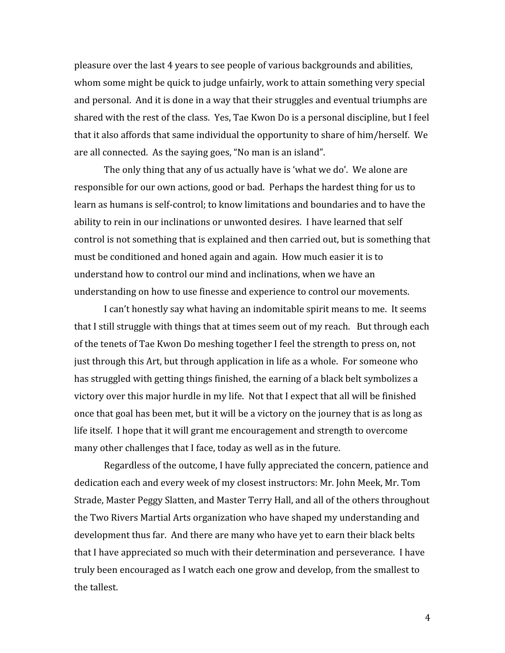pleasure
over
the
last
4
years
to
see
people
of
various
backgrounds
and
abilities, whom some might be quick to judge unfairly, work to attain something very special and personal. And it is done in a way that their struggles and eventual triumphs are shared with the rest of the class. Yes, Tae Kwon Do is a personal discipline, but I feel that
it
also
affords
that
same
individual
the
opportunity
to
share
of
him/herself.

We are
all
connected.

As
the
saying
goes,
"No
man
is
an
island".

The
only
thing
that
any
of
us
actually
have
is
'what
we
do'.

We
alone
are responsible for our own actions, good or bad. Perhaps the hardest thing for us to learn as humans is self-control; to know limitations and boundaries and to have the ability to rein in our inclinations or unwonted desires. I have learned that self control
is
not
something
that
is
explained
and
then
carried
out,
but
is
something
that must
be
conditioned
and
honed
again
and
again.

How
much
easier
it
is
to understand
how
to
control
our
mind
and
inclinations,
when
we
have
an understanding
on
how
to
use
finesse
and
experience
to
control
our
movements.

I can't honestly say what having an indomitable spirit means to me. It seems that I still struggle with things that at times seem out of my reach. But through each of
the
tenets
of
Tae
Kwon
Do
meshing
together
I
feel
the
strength
to
press
on,
not just through this Art, but through application in life as a whole. For someone who has struggled with getting things finished, the earning of a black belt symbolizes a victory over this major hurdle in my life. Not that I expect that all will be finished once
that
goal
has
been
met,
but
it
will
be
a
victory
on
the
journey
that
is
as
long
as life itself. I hope that it will grant me encouragement and strength to overcome many
other
challenges
that
I
face,
today
as
well
as
in
the
future.

Regardless of the outcome, I have fully appreciated the concern, patience and dedication
each
and
every
week
of
my
closest
instructors:
Mr.
John
Meek,
Mr.
Tom Strade, Master Peggy Slatten, and Master Terry Hall, and all of the others throughout the
Two
Rivers
Martial
Arts
organization
who
have
shaped
my
understanding
and development thus far. And there are many who have yet to earn their black belts that
I
have
appreciated
so
much
with
their
determination
and
perseverance.

I
have truly
been
encouraged
as
I
watch
each
one
grow
and
develop,
from
the
smallest
to the
tallest.

4